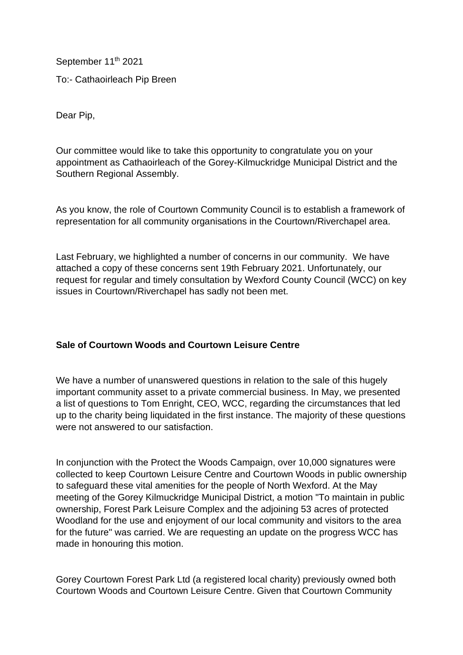September 11<sup>th</sup> 2021 To:- Cathaoirleach Pip Breen

Dear Pip,

Our committee would like to take this opportunity to congratulate you on your appointment as Cathaoirleach of the Gorey-Kilmuckridge Municipal District and the Southern Regional Assembly.

As you know, the role of Courtown Community Council is to establish a framework of representation for all community organisations in the Courtown/Riverchapel area.

Last February, we highlighted a number of concerns in our community. We have attached a copy of these concerns sent 19th February 2021. Unfortunately, our request for regular and timely consultation by Wexford County Council (WCC) on key issues in Courtown/Riverchapel has sadly not been met.

## **Sale of Courtown Woods and Courtown Leisure Centre**

We have a number of unanswered questions in relation to the sale of this hugely important community asset to a private commercial business. In May, we presented a list of questions to Tom Enright, CEO, WCC, regarding the circumstances that led up to the charity being liquidated in the first instance. The majority of these questions were not answered to our satisfaction.

In conjunction with the Protect the Woods Campaign, over 10,000 signatures were collected to keep Courtown Leisure Centre and Courtown Woods in public ownership to safeguard these vital amenities for the people of North Wexford. At the May meeting of the Gorey Kilmuckridge Municipal District, a motion "To maintain in public ownership, Forest Park Leisure Complex and the adjoining 53 acres of protected Woodland for the use and enjoyment of our local community and visitors to the area for the future" was carried. We are requesting an update on the progress WCC has made in honouring this motion.

Gorey Courtown Forest Park Ltd (a registered local charity) previously owned both Courtown Woods and Courtown Leisure Centre. Given that Courtown Community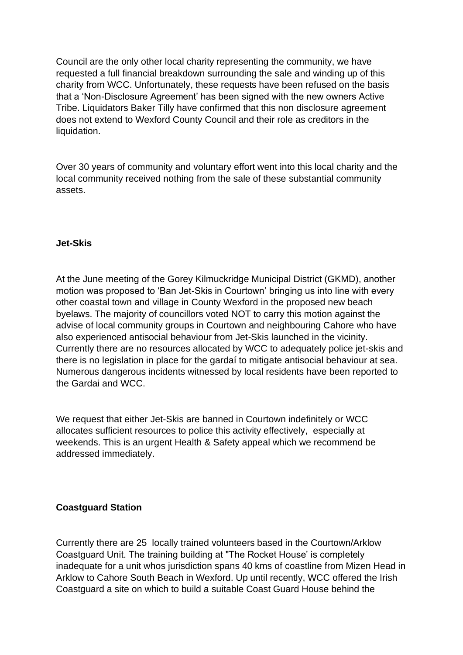Council are the only other local charity representing the community, we have requested a full financial breakdown surrounding the sale and winding up of this charity from WCC. Unfortunately, these requests have been refused on the basis that a 'Non-Disclosure Agreement' has been signed with the new owners Active Tribe. Liquidators Baker Tilly have confirmed that this non disclosure agreement does not extend to Wexford County Council and their role as creditors in the liquidation.

Over 30 years of community and voluntary effort went into this local charity and the local community received nothing from the sale of these substantial community assets.

## **Jet-Skis**

At the June meeting of the Gorey Kilmuckridge Municipal District (GKMD), another motion was proposed to 'Ban Jet-Skis in Courtown' bringing us into line with every other coastal town and village in County Wexford in the proposed new beach byelaws. The majority of councillors voted NOT to carry this motion against the advise of local community groups in Courtown and neighbouring Cahore who have also experienced antisocial behaviour from Jet-Skis launched in the vicinity. Currently there are no resources allocated by WCC to adequately police jet-skis and there is no legislation in place for the gardaí to mitigate antisocial behaviour at sea. Numerous dangerous incidents witnessed by local residents have been reported to the Gardai and WCC.

We request that either Jet-Skis are banned in Courtown indefinitely or WCC allocates sufficient resources to police this activity effectively, especially at weekends. This is an urgent Health & Safety appeal which we recommend be addressed immediately.

## **Coastguard Station**

Currently there are 25 locally trained volunteers based in the Courtown/Arklow Coastguard Unit. The training building at "The Rocket House' is completely inadequate for a unit whos jurisdiction spans 40 kms of coastline from Mizen Head in Arklow to Cahore South Beach in Wexford. Up until recently, WCC offered the Irish Coastguard a site on which to build a suitable Coast Guard House behind the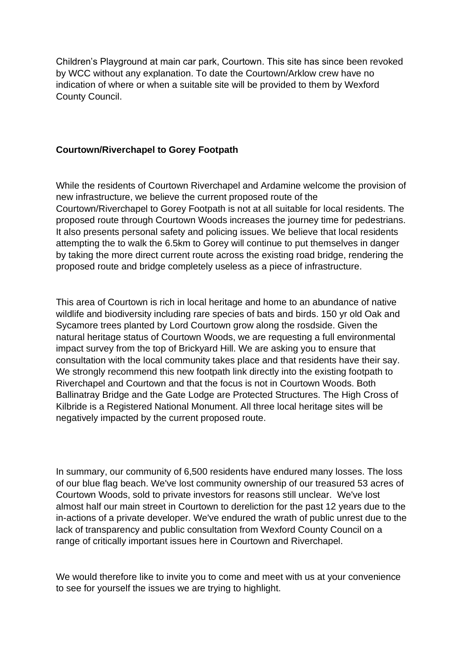Children's Playground at main car park, Courtown. This site has since been revoked by WCC without any explanation. To date the Courtown/Arklow crew have no indication of where or when a suitable site will be provided to them by Wexford County Council.

## **Courtown/Riverchapel to Gorey Footpath**

While the residents of Courtown Riverchapel and Ardamine welcome the provision of new infrastructure, we believe the current proposed route of the Courtown/Riverchapel to Gorey Footpath is not at all suitable for local residents. The proposed route through Courtown Woods increases the journey time for pedestrians. It also presents personal safety and policing issues. We believe that local residents attempting the to walk the 6.5km to Gorey will continue to put themselves in danger by taking the more direct current route across the existing road bridge, rendering the proposed route and bridge completely useless as a piece of infrastructure.

This area of Courtown is rich in local heritage and home to an abundance of native wildlife and biodiversity including rare species of bats and birds. 150 yr old Oak and Sycamore trees planted by Lord Courtown grow along the rosdside. Given the natural heritage status of Courtown Woods, we are requesting a full environmental impact survey from the top of Brickyard Hill. We are asking you to ensure that consultation with the local community takes place and that residents have their say. We strongly recommend this new footpath link directly into the existing footpath to Riverchapel and Courtown and that the focus is not in Courtown Woods. Both Ballinatray Bridge and the Gate Lodge are Protected Structures. The High Cross of Kilbride is a Registered National Monument. All three local heritage sites will be negatively impacted by the current proposed route.

In summary, our community of 6,500 residents have endured many losses. The loss of our blue flag beach. We've lost community ownership of our treasured 53 acres of Courtown Woods, sold to private investors for reasons still unclear. We've lost almost half our main street in Courtown to dereliction for the past 12 years due to the in-actions of a private developer. We've endured the wrath of public unrest due to the lack of transparency and public consultation from Wexford County Council on a range of critically important issues here in Courtown and Riverchapel.

We would therefore like to invite you to come and meet with us at your convenience to see for yourself the issues we are trying to highlight.